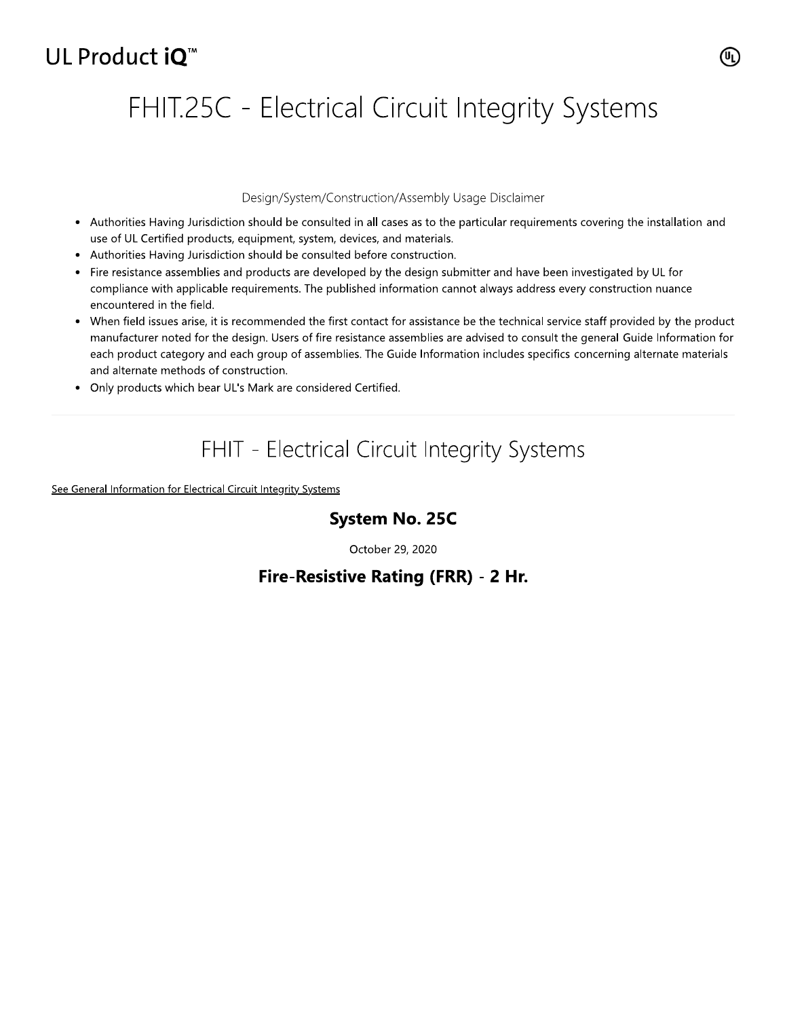## UL Product iO<sup>™</sup>

# FHIT.25C - Electrical Circuit Integrity Systems

### Design/System/Construction/Assembly Usage Disclaimer

- Authorities Having Jurisdiction should be consulted in all cases as to the particular requirements covering the installation and use of UL Certified products, equipment, system, devices, and materials.
- Authorities Having Jurisdiction should be consulted before construction.
- Fire resistance assemblies and products are developed by the design submitter and have been investigated by UL for compliance with applicable requirements. The published information cannot always address every construction nuance encountered in the field.
- When field issues arise, it is recommended the first contact for assistance be the technical service staff provided by the product manufacturer noted for the design. Users of fire resistance assemblies are advised to consult the general Guide Information for each product category and each group of assemblies. The Guide Information includes specifics concerning alternate materials and alternate methods of construction.
- Only products which bear UL's Mark are considered Certified.

## FHIT - Electrical Circuit Integrity Systems

See General Information for Electrical Circuit Integrity Systems

## **System No. 25C**

October 29, 2020

## Fire-Resistive Rating (FRR) - 2 Hr.

(U<sub>L)</sub>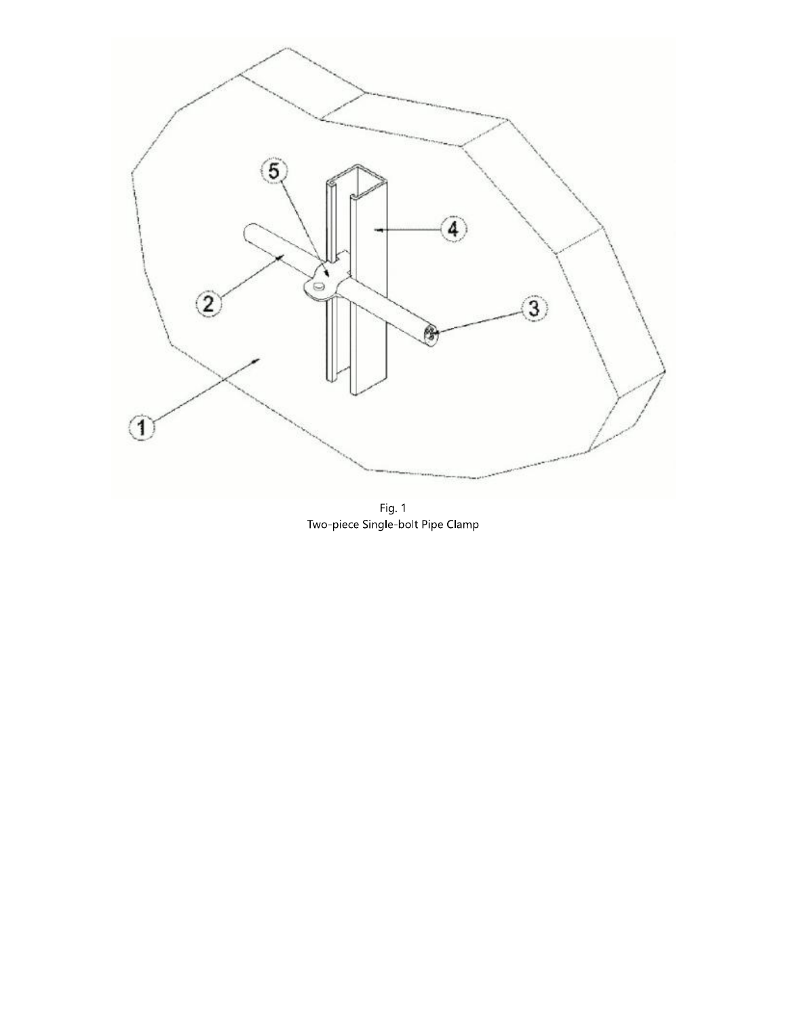

Fig. 1<br>Two-piece Single-bolt Pipe Clamp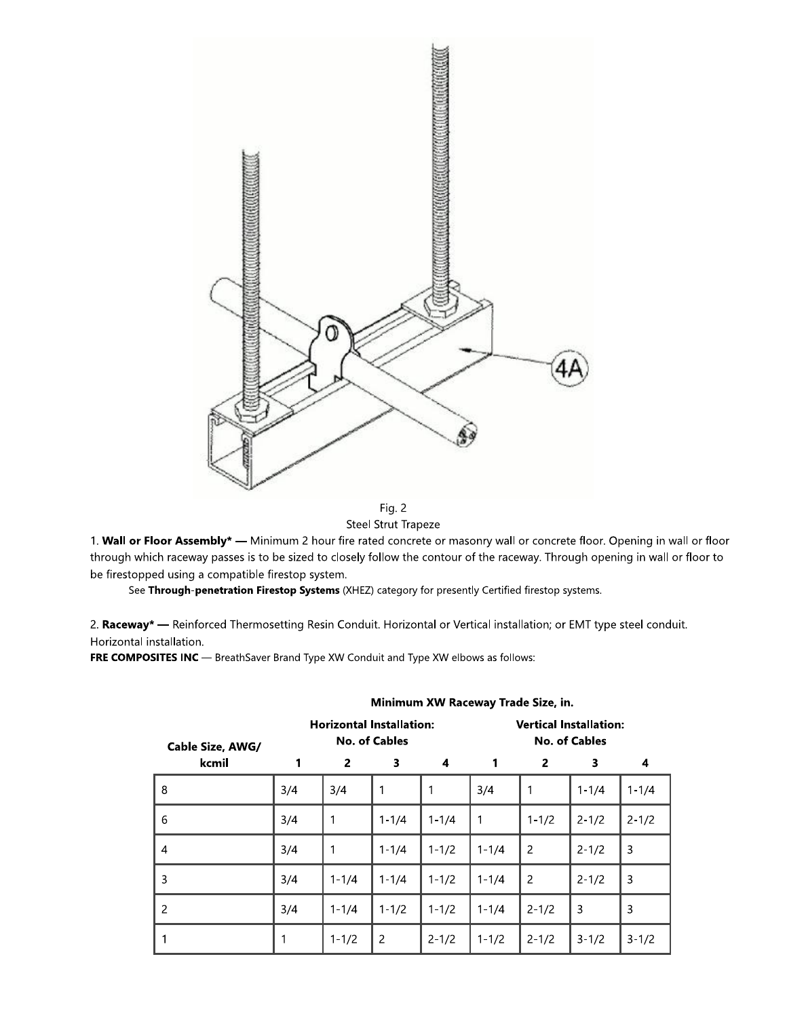

Fig. 2 Steel Strut Trapeze

1. Wall or Floor Assembly\* — Minimum 2 hour fire rated concrete or masonry wall or concrete floor. Opening in wall or floor through which raceway passes is to be sized to closely follow the contour of the raceway. Through opening in wall or floor to be firestopped using a compatible firestop system.

See Through-penetration Firestop Systems (XHEZ) category for presently Certified firestop systems.

2. Raceway\* - Reinforced Thermosetting Resin Conduit. Horizontal or Vertical installation; or EMT type steel conduit. Horizontal installation.

FRE COMPOSITES INC - BreathSaver Brand Type XW Conduit and Type XW elbows as follows:

| Cable Size, AWG/ | <b>Horizontal Installation:</b><br><b>No. of Cables</b> |                |                |           | <b>Vertical Installation:</b><br><b>No. of Cables</b> |                |           |           |
|------------------|---------------------------------------------------------|----------------|----------------|-----------|-------------------------------------------------------|----------------|-----------|-----------|
| kcmil            | 1                                                       | $\overline{2}$ | 3              | 4         | 1                                                     | $\overline{2}$ | 3         | 4         |
| 8                | 3/4                                                     | 3/4            | 1              | 1         | 3/4                                                   | 1              | $1 - 1/4$ | $1 - 1/4$ |
| 6                | 3/4                                                     | 1              | $1 - 1/4$      | $1 - 1/4$ | $\mathbf{1}$                                          | $1 - 1/2$      | $2 - 1/2$ | $2 - 1/2$ |
| $\overline{4}$   | 3/4                                                     | 1              | $1 - 1/4$      | $1 - 1/2$ | $1 - 1/4$                                             | $\overline{2}$ | $2 - 1/2$ | 3         |
| 3                | 3/4                                                     | $1 - 1/4$      | $1 - 1/4$      | $1 - 1/2$ | $1 - 1/4$                                             | $\overline{2}$ | $2 - 1/2$ | 3         |
| $\overline{2}$   | 3/4                                                     | $1 - 1/4$      | $1 - 1/2$      | $1 - 1/2$ | $1 - 1/4$                                             | $2 - 1/2$      | 3         | 3         |
|                  | 1                                                       | $1 - 1/2$      | $\overline{c}$ | $2 - 1/2$ | $1 - 1/2$                                             | $2 - 1/2$      | $3 - 1/2$ | $3 - 1/2$ |

#### Minimum XW Raceway Trade Size, in.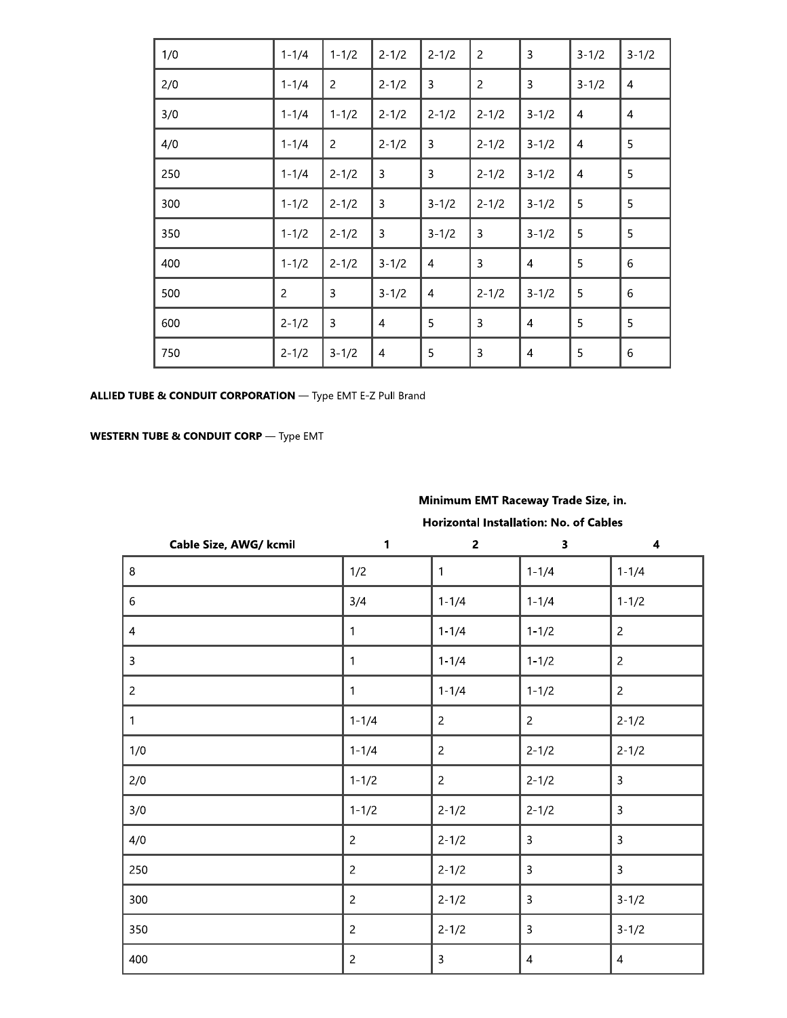| 1/0 | $1 - 1/4$      | $1 - 1/2$      | $2 - 1/2$      | $2 - 1/2$      | $\overline{c}$ | $\overline{3}$ | $3 - 1/2$      | $3 - 1/2$      |
|-----|----------------|----------------|----------------|----------------|----------------|----------------|----------------|----------------|
| 2/0 | $1 - 1/4$      | $\overline{2}$ | $2 - 1/2$      | 3              | $\overline{2}$ | 3              | $3 - 1/2$      | 4              |
| 3/0 | $1 - 1/4$      | $1 - 1/2$      | $2 - 1/2$      | $2 - 1/2$      | $2 - 1/2$      | $3 - 1/2$      | 4              | $\overline{4}$ |
| 4/0 | $1 - 1/4$      | $\overline{2}$ | $2 - 1/2$      | 3              | $2 - 1/2$      | $3 - 1/2$      | 4              | 5              |
| 250 | $1 - 1/4$      | $2 - 1/2$      | 3              | 3              | $2 - 1/2$      | $3 - 1/2$      | $\overline{4}$ | 5              |
| 300 | $1 - 1/2$      | $2 - 1/2$      | 3              | $3 - 1/2$      | $2 - 1/2$      | $3 - 1/2$      | 5              | 5              |
| 350 | $1 - 1/2$      | $2 - 1/2$      | 3              | $3 - 1/2$      | 3              | $3 - 1/2$      | 5              | 5              |
| 400 | $1 - 1/2$      | $2 - 1/2$      | $3 - 1/2$      | $\overline{4}$ | 3              | $\overline{4}$ | 5              | 6              |
| 500 | $\overline{c}$ | 3              | $3 - 1/2$      | $\overline{4}$ | $2 - 1/2$      | $3 - 1/2$      | 5              | 6              |
| 600 | $2 - 1/2$      | 3              | $\overline{4}$ | 5              | $\overline{3}$ | $\overline{4}$ | 5              | 5              |
| 750 | $2 - 1/2$      | $3 - 1/2$      | $\overline{4}$ | 5              | 3              | $\overline{4}$ | 5              | 6              |

ALLIED TUBE & CONDUIT CORPORATION - Type EMT E-Z Pull Brand

**WESTERN TUBE & CONDUIT CORP** - Type EMT

## Minimum EMT Raceway Trade Size, in.

### Horizontal Installation: No. of Cables

| Cable Size, AWG/ kcmil | 1              | $\overline{2}$ | $\overline{\mathbf{3}}$ | $\overline{\mathbf{4}}$ |
|------------------------|----------------|----------------|-------------------------|-------------------------|
| $\,8\,$                | 1/2            | $\mathbf{1}$   | $1 - 1/4$               | $1 - 1/4$               |
| $\sqrt{6}$             | 3/4            | $1 - 1/4$      | $1 - 1/4$               | $1 - 1/2$               |
| $\overline{a}$         | 1              | $1 - 1/4$      | $1 - 1/2$               | $\overline{c}$          |
| $\mathbf{3}$           |                | $1 - 1/4$      | $1 - 1/2$               | $\overline{c}$          |
| $\overline{2}$         | 1              | $1 - 1/4$      | $1 - 1/2$               | $\overline{c}$          |
| 1                      | $1 - 1/4$      | $\overline{c}$ | $\overline{c}$          | $2 - 1/2$               |
| 1/0                    | $1 - 1/4$      | $\overline{c}$ | $2 - 1/2$               | $2 - 1/2$               |
| 2/0                    | $1 - 1/2$      | $\overline{c}$ | $2 - 1/2$               | 3                       |
| 3/0                    | $1 - 1/2$      | $2 - 1/2$      | $2 - 1/2$               | 3                       |
| 4/0                    | $\overline{c}$ | $2 - 1/2$      | 3                       | 3                       |
| 250                    | $\overline{c}$ | $2 - 1/2$      | 3                       | 3                       |
| 300                    | $\overline{c}$ | $2 - 1/2$      | 3                       | $3 - 1/2$               |
| 350                    | $\overline{2}$ | $2 - 1/2$      | 3                       | $3 - 1/2$               |
| 400                    | $\overline{c}$ | $\mathbf{3}$   | 4                       | 4                       |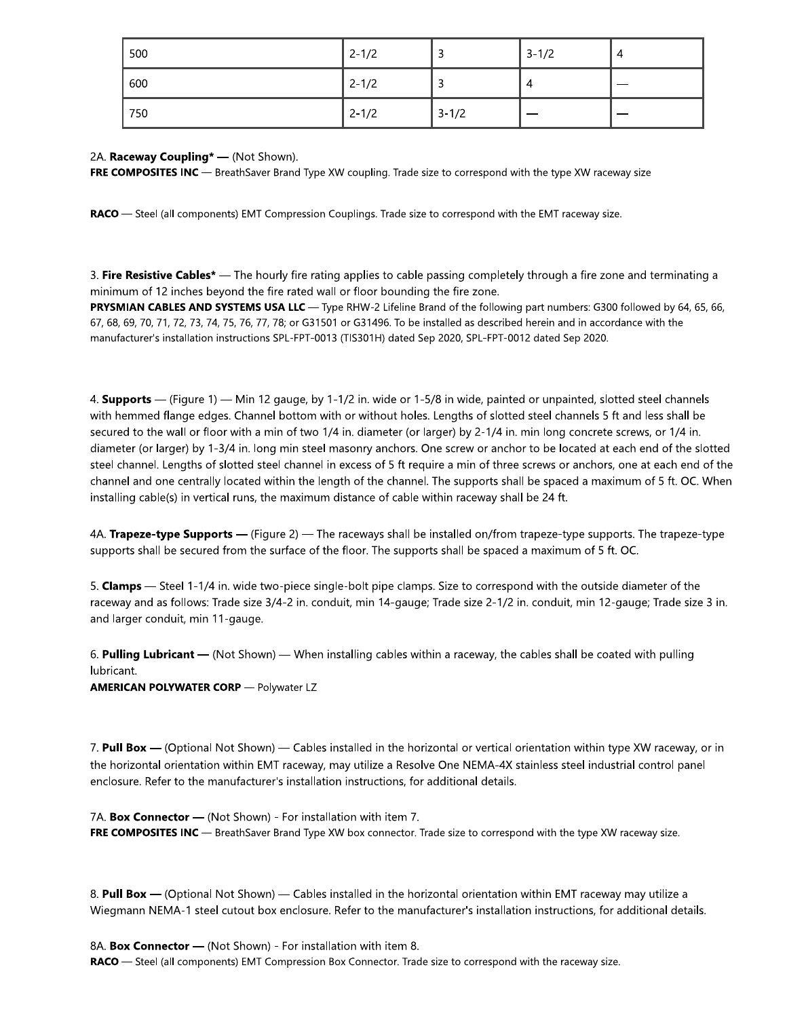| 500 | $2 - 1/2$ |           | $3 - 1/2$ | 4 |
|-----|-----------|-----------|-----------|---|
| 600 | $2 - 1/2$ |           | 4         |   |
| 750 | $2 - 1/2$ | $3 - 1/2$ |           |   |

### 2A. Raceway Coupling\* - (Not Shown).

FRE COMPOSITES INC - BreathSaver Brand Type XW coupling. Trade size to correspond with the type XW raceway size

RACO - Steel (all components) EMT Compression Couplings. Trade size to correspond with the EMT raceway size.

3. Fire Resistive Cables\* — The hourly fire rating applies to cable passing completely through a fire zone and terminating a minimum of 12 inches beyond the fire rated wall or floor bounding the fire zone.

PRYSMIAN CABLES AND SYSTEMS USA LLC - Type RHW-2 Lifeline Brand of the following part numbers: G300 followed by 64, 65, 66, 67, 68, 69, 70, 71, 72, 73, 74, 75, 76, 77, 78; or G31501 or G31496. To be installed as described herein and in accordance with the manufacturer's installation instructions SPL-FPT-0013 (TIS301H) dated Sep 2020, SPL-FPT-0012 dated Sep 2020.

4. **Supports** — (Figure 1) — Min 12 gauge, by 1-1/2 in. wide or 1-5/8 in wide, painted or unpainted, slotted steel channels with hemmed flange edges. Channel bottom with or without holes. Lengths of slotted steel channels 5 ft and less shall be secured to the wall or floor with a min of two 1/4 in. diameter (or larger) by 2-1/4 in. min long concrete screws, or 1/4 in. diameter (or larger) by 1-3/4 in. long min steel masonry anchors. One screw or anchor to be located at each end of the slotted steel channel. Lengths of slotted steel channel in excess of 5 ft require a min of three screws or anchors, one at each end of the channel and one centrally located within the length of the channel. The supports shall be spaced a maximum of 5 ft. OC. When installing cable(s) in vertical runs, the maximum distance of cable within raceway shall be 24 ft.

4A. Trapeze-type Supports - (Figure 2) - The raceways shall be installed on/from trapeze-type supports. The trapeze-type supports shall be secured from the surface of the floor. The supports shall be spaced a maximum of 5 ft. OC.

5. Clamps - Steel 1-1/4 in. wide two-piece single-bolt pipe clamps. Size to correspond with the outside diameter of the raceway and as follows: Trade size 3/4-2 in. conduit, min 14-gauge; Trade size 2-1/2 in. conduit, min 12-gauge; Trade size 3 in. and larger conduit, min 11-gauge.

6. Pulling Lubricant  $-$  (Not Shown)  $-$  When installing cables within a raceway, the cables shall be coated with pulling lubricant.

**AMERICAN POLYWATER CORP** - Polywater LZ

7. Pull Box - (Optional Not Shown) - Cables installed in the horizontal or vertical orientation within type XW raceway, or in the horizontal orientation within EMT raceway, may utilize a Resolve One NEMA-4X stainless steel industrial control panel enclosure. Refer to the manufacturer's installation instructions, for additional details.

7A. Box Connector - (Not Shown) - For installation with item 7. FRE COMPOSITES INC - BreathSaver Brand Type XW box connector. Trade size to correspond with the type XW raceway size.

8. Pull Box - (Optional Not Shown) - Cables installed in the horizontal orientation within EMT raceway may utilize a Wiegmann NEMA-1 steel cutout box enclosure. Refer to the manufacturer's installation instructions, for additional details.

8A. Box Connector - (Not Shown) - For installation with item 8. RACO - Steel (all components) EMT Compression Box Connector. Trade size to correspond with the raceway size.